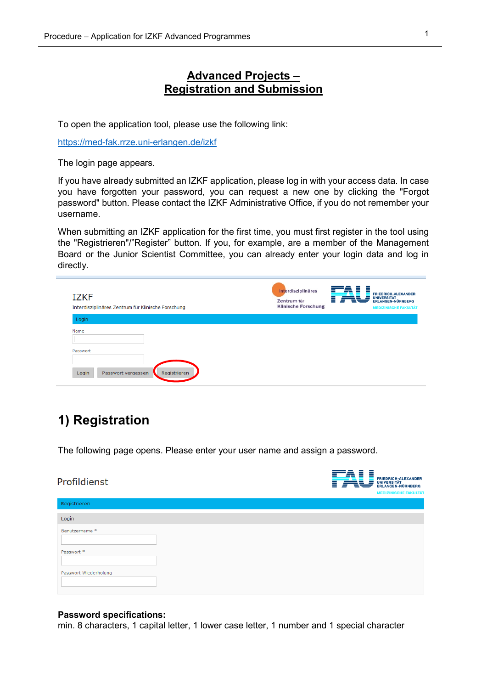# **Advanced Projects – Registration and Submission**

To open the application tool, please use the following link:

<https://med-fak.rrze.uni-erlangen.de/izkf>

The login page appears.

If you have already submitted an IZKF application, please log in with your access data. In case you have forgotten your password, you can request a new one by clicking the "Forgot password" button. Please contact the IZKF Administrative Office, if you do not remember your username.

When submitting an IZKF application for the first time, you must first register in the tool using the "Registrieren"/"Register" button. If you, for example, are a member of the Management Board or the Junior Scientist Committee, you can already enter your login data and log in directly.

| <b>IZKF</b><br>Interdisziplinäres Zentrum für Klinische Forschung | interdisziplinäres<br>Zentrum für<br><b>Klinische Forschung</b> | <b>FRIEDRICH-ALEXANDER</b><br><b>UNIVERSITÄT</b><br><b>ERLANGEN-NÜRNBERG</b><br><b>MEDIZINISCHE FAKULTÄT</b> |
|-------------------------------------------------------------------|-----------------------------------------------------------------|--------------------------------------------------------------------------------------------------------------|
| Login                                                             |                                                                 |                                                                                                              |
| Name<br>Passwort<br>Login<br>Registrieren<br>Passwort vergessen   |                                                                 |                                                                                                              |

# **1) Registration**

The following page opens. Please enter your user name and assign a password.

| Profildienst          | =<br>-<br>⋍ | <b>FRIEDRICH-ALEXANDER</b><br><b>UNIVERSITÄT<br/>ERLANGEN-NÜRNBERG</b><br><b>MEDIZINISCHE FAKULTÄT</b> |
|-----------------------|-------------|--------------------------------------------------------------------------------------------------------|
| Registrieren          |             |                                                                                                        |
| Login                 |             |                                                                                                        |
| Benutzername *        |             |                                                                                                        |
| Passwort *            |             |                                                                                                        |
| Passwort Wiederholung |             |                                                                                                        |

#### **Password specifications:**

min. 8 characters, 1 capital letter, 1 lower case letter, 1 number and 1 special character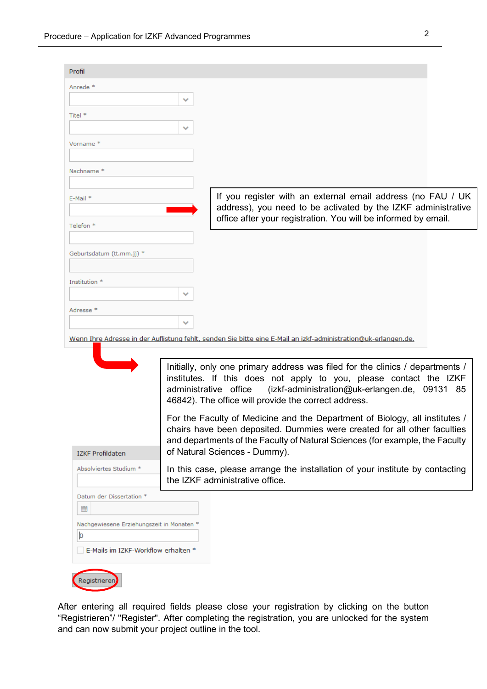| Profil                                    |                                                                                                                                                                                                                                                                                       |
|-------------------------------------------|---------------------------------------------------------------------------------------------------------------------------------------------------------------------------------------------------------------------------------------------------------------------------------------|
| Anrede*                                   |                                                                                                                                                                                                                                                                                       |
|                                           |                                                                                                                                                                                                                                                                                       |
| Titel *                                   |                                                                                                                                                                                                                                                                                       |
|                                           |                                                                                                                                                                                                                                                                                       |
| Vorname <sup>*</sup>                      |                                                                                                                                                                                                                                                                                       |
| Nachname <sup>*</sup>                     |                                                                                                                                                                                                                                                                                       |
|                                           |                                                                                                                                                                                                                                                                                       |
| $E-Mail *$                                | If you register with an external email address (no FAU / UK<br>address), you need to be activated by the IZKF administrative                                                                                                                                                          |
| Telefon <sup>*</sup>                      | office after your registration. You will be informed by email.                                                                                                                                                                                                                        |
|                                           |                                                                                                                                                                                                                                                                                       |
| Geburtsdatum (tt.mm.jj) *                 |                                                                                                                                                                                                                                                                                       |
|                                           |                                                                                                                                                                                                                                                                                       |
| Institution *                             |                                                                                                                                                                                                                                                                                       |
|                                           |                                                                                                                                                                                                                                                                                       |
| Adresse *                                 |                                                                                                                                                                                                                                                                                       |
|                                           |                                                                                                                                                                                                                                                                                       |
|                                           |                                                                                                                                                                                                                                                                                       |
|                                           | Wenn Ihre Adresse in der Auflistung fehlt, senden Sie bitte eine E-Mail an izkf-administration@uk-erlangen.de.                                                                                                                                                                        |
|                                           | Initially, only one primary address was filed for the clinics / departments /<br>institutes. If this does not apply to you, please contact the IZKF<br>administrative office<br>(izkf-administration@uk-erlangen.de, 09131 85<br>46842). The office will provide the correct address. |
|                                           | For the Faculty of Medicine and the Department of Biology, all institutes /<br>chairs have been deposited. Dummies were created for all other faculties<br>and departments of the Faculty of Natural Sciences (for example, the Faculty                                               |
| <b>IZKF Profildaten</b>                   | of Natural Sciences - Dummy).                                                                                                                                                                                                                                                         |
| Absolviertes Studium *                    | In this case, please arrange the installation of your institute by contacting<br>the IZKF administrative office.                                                                                                                                                                      |
| Datum der Dissertation *                  |                                                                                                                                                                                                                                                                                       |
| 鱛                                         |                                                                                                                                                                                                                                                                                       |
| Nachgewiesene Erziehungszeit in Monaten * |                                                                                                                                                                                                                                                                                       |
| þ<br>E-Mails im IZKF-Workflow erhalten *  |                                                                                                                                                                                                                                                                                       |
|                                           |                                                                                                                                                                                                                                                                                       |

After entering all required fields please close your registration by clicking on the button "Registrieren"/ "Register". After completing the registration, you are unlocked for the system and can now submit your project outline in the tool.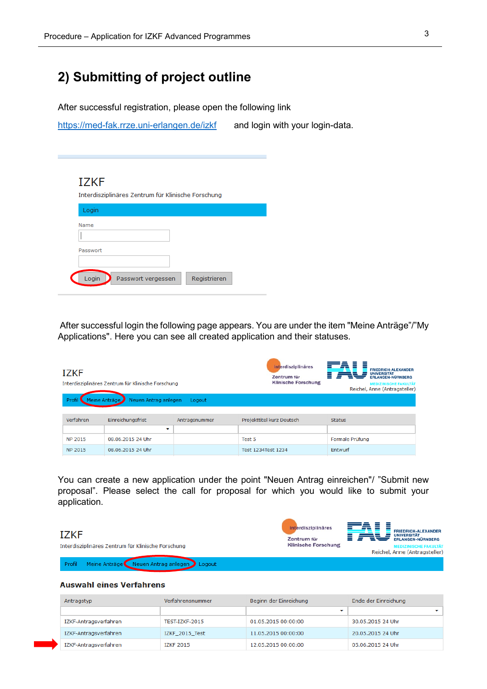# **2) Submitting of project outline**

After successful registration, please open the following link

<https://med-fak.rrze.uni-erlangen.de/izkf>and login with your login-data.

## **TZKF**

Interdisziplinäres Zentrum für Klinische Forschung

| Name     |  |
|----------|--|
|          |  |
|          |  |
| Passwort |  |
|          |  |
|          |  |
|          |  |

After successful login the following page appears. You are under the item "Meine Anträge"/"My Applications". Here you can see all created application and their statuses.

| <b>IZKF</b><br>Interdisziplinäres Zentrum für Klinische Forschung |                                       |               | interdisziplinäres<br>Zentrum für<br><b>Klinische Forschung</b> | <b>FRIEDRICH-ALEXANDER</b><br><b>UNIVERSITÄT</b><br><b>ERLANGEN-NÜRNBERG</b><br><b>MEDIZINISCHE FAKULTÄT</b><br>Reichel, Anne (Antragsteller) |
|-------------------------------------------------------------------|---------------------------------------|---------------|-----------------------------------------------------------------|-----------------------------------------------------------------------------------------------------------------------------------------------|
| Profi                                                             | Meine Anträge<br>Neuen Antrag anlegen | Logout        |                                                                 |                                                                                                                                               |
| Verfahren                                                         | Einreichungsfrist                     | Antragsnummer | Projekttitel kurz Deutsch                                       | <b>Status</b>                                                                                                                                 |
|                                                                   | v                                     |               |                                                                 |                                                                                                                                               |
| NP 2015                                                           | 08.06.2015 24 Uhr                     |               | Test 5                                                          | Formale Prüfung                                                                                                                               |
| NP 2015                                                           | 08.06.2015 24 Uhr                     |               | Test 1234Test 1234                                              | Entwurf                                                                                                                                       |

You can create a new application under the point "Neuen Antrag einreichen"/ "Submit new proposal". Please select the call for proposal for which you would like to submit your application.

#### Ē ≣ interdisziplinäres FRIEDRICH-ALEXANDER<br>UNIVERSITÄT<br>ERLANGEN-NÜRNBERG **IZKF** ≡ Zentrum für **Klinische Forschung** Interdisziplinäres Zentrum für Klinische Forschung Reichel, Anne (Antragsteller) Profil Meine Anträge Neuen Antrag anlegen Logout

#### **Auswahl eines Verfahrens**

| Antragstyp            | Verfahrensnummer | Beginn der Einreichung | Ende der Einreichung |
|-----------------------|------------------|------------------------|----------------------|
|                       |                  |                        |                      |
| IZKF-Antragsverfahren | TEST-IZKF-2015   | 01.05.2015 00:00:00    | 30.05.2015 24 Uhr    |
| IZKF-Antragsverfahren | IZKF 2015 Test   | 11.05.2015 00:00:00    | 20.05.2015 24 Uhr    |
| IZKF-Antragsverfahren | <b>IZKF 2015</b> | 12.05.2015 00:00:00    | 05.06.2015 24 Uhr    |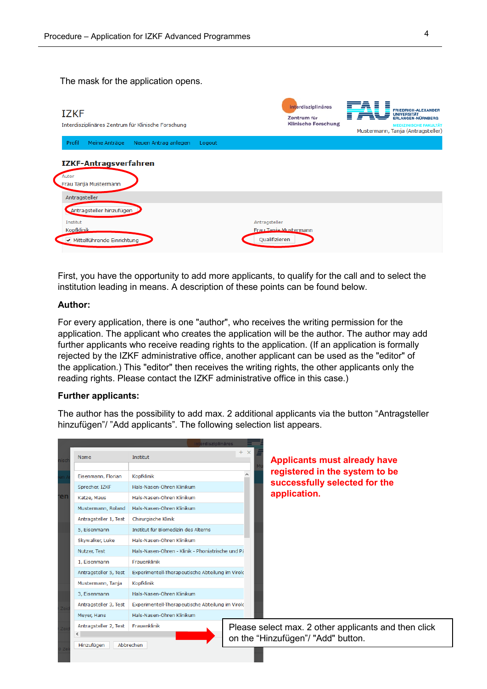The mask for the application opens.



First, you have the opportunity to add more applicants, to qualify for the call and to select the institution leading in means. A description of these points can be found below.

#### **Author:**

For every application, there is one "author", who receives the writing permission for the application. The applicant who creates the application will be the author. The author may add further applicants who receive reading rights to the application. (If an application is formally rejected by the IZKF administrative office, another applicant can be used as the "editor" of the application.) This "editor" then receives the writing rights, the other applicants only the reading rights. Please contact the IZKF administrative office in this case.)

#### **Further applicants:**

The author has the possibility to add max. 2 additional applicants via the button "Antragsteller hinzufügen"/ "Add applicants". The following selection list appears.

|    |                       | terdisziplinäres                                 |                 |                                                      |
|----|-----------------------|--------------------------------------------------|-----------------|------------------------------------------------------|
|    | Name                  | Institut                                         | $+$<br>$\times$ | <b>Applicants must already have</b>                  |
|    | Eisenmann, Florian    | <b>Kopfklinik</b>                                |                 | registered in the system to be                       |
|    | Sprecher, IZKF        | Hals-Nasen-Ohren Klinikum                        |                 | successfully selected for the                        |
| eī | Katze, Maus           | Hals-Nasen-Ohren Klinikum                        |                 | application.                                         |
|    | Mustermann, Roland    | Hals-Nasen-Ohren Klinikum                        |                 |                                                      |
|    | Antragsteller 1, Test | Chirurgische Klinik                              |                 |                                                      |
|    | 5. Eisenmann          | Institut für Biomedizin des Alterns              |                 |                                                      |
|    | Skywalker, Luke       | Hals-Nasen-Ohren Klinikum                        |                 |                                                      |
|    | Nutzer, Test          | Hals-Nasen-Ohren - Klinik - Phoniatrische und Pä |                 |                                                      |
|    | 1. Eisenmann          | Frauenklinik                                     |                 |                                                      |
|    | Antragsteller 5, Test | Experimentell-Therapeutische Abteilung im Virolc |                 |                                                      |
|    | Mustermann, Tanja     | <b>Kopfklinik</b>                                |                 |                                                      |
|    | 3, Eisenmann          | Hals-Nasen-Ohren Klinikum                        |                 |                                                      |
|    | Antragsteller 3, Test | Experimentell-Therapeutische Abteilung im Virolc |                 |                                                      |
|    | Meyer, Hans           | Hals-Nasen-Ohren Klinikum                        |                 |                                                      |
|    | Antragsteller 2, Test | Frauenklinik                                     |                 | Please select max. 2 other applicants and then click |
|    | ≺<br>Hinzufügen       | Abbrechen                                        |                 | on the "Hinzufügen"/ "Add" button.                   |
|    |                       |                                                  |                 |                                                      |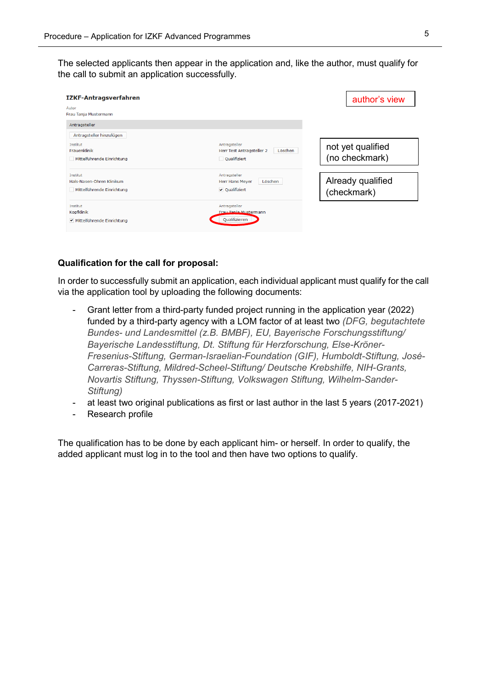The selected applicants then appear in the application and, like the author, must qualify for the call to submit an application successfully.

| <b>IZKF-Antragsverfahren</b>                                        |                                                                       | author's view                       |
|---------------------------------------------------------------------|-----------------------------------------------------------------------|-------------------------------------|
| Autor<br>Frau Tanja Mustermann                                      |                                                                       |                                     |
| Antragsteller                                                       |                                                                       |                                     |
| Antragsteller hinzufügen                                            |                                                                       |                                     |
| Institut<br>Frauenklinik<br>Mittelführende Einrichtung              | Antragsteller<br>Löschen<br>Herr Test Antragsteller 2<br>Qualifiziert | not yet qualified<br>(no checkmark) |
| Institut<br>Hals-Nasen-Ohren Klinikum<br>Mittelführende Einrichtung | Antragsteller<br>Löschen<br><b>Herr Hans Mever</b><br>✔ Oualifiziert  | Already qualified<br>(checkmark)    |
| Institut<br><b>Kopfklinik</b><br>▼ Mittelführende Einrichtung       | Antragsteller<br>Frau Tapia Mustermann<br>Qualifizieren               |                                     |

#### **Qualification for the call for proposal:**

In order to successfully submit an application, each individual applicant must qualify for the call via the application tool by uploading the following documents:

- Grant letter from a third-party funded project running in the application year (2022) funded by a third-party agency with a LOM factor of at least two *(DFG, begutachtete Bundes- und Landesmittel (z.B. BMBF), EU, Bayerische Forschungsstiftung/ Bayerische Landesstiftung, Dt. Stiftung für Herzforschung, Else-Kröner-Fresenius-Stiftung, German-Israelian-Foundation (GIF), Humboldt-Stiftung, José-Carreras-Stiftung, Mildred-Scheel-Stiftung/ Deutsche Krebshilfe, NIH-Grants, Novartis Stiftung, Thyssen-Stiftung, Volkswagen Stiftung, Wilhelm-Sander-Stiftung)*
- at least two original publications as first or last author in the last 5 years (2017-2021)
- Research profile

The qualification has to be done by each applicant him- or herself. In order to qualify, the added applicant must log in to the tool and then have two options to qualify.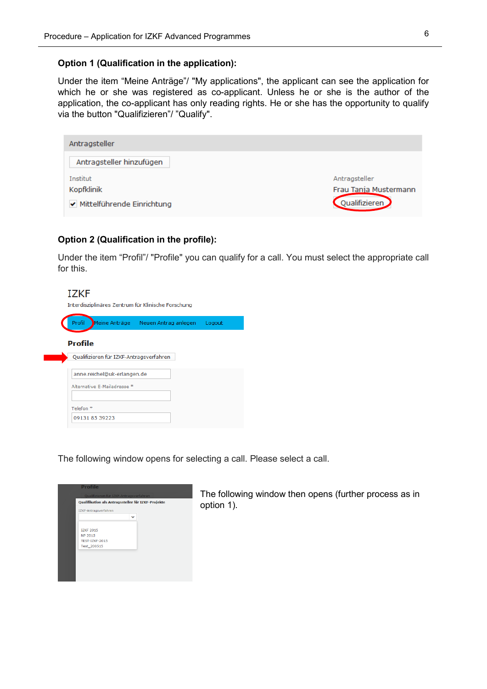## **Option 1 (Qualification in the application):**

Under the item "Meine Anträge"/ "My applications", the applicant can see the application for which he or she was registered as co-applicant. Unless he or she is the author of the application, the co-applicant has only reading rights. He or she has the opportunity to qualify via the button "Qualifizieren"/ "Qualify".

| Antragsteller                |                       |
|------------------------------|-----------------------|
| Antragsteller hinzufügen     |                       |
| Institut                     | Antragsteller         |
| Kopfklinik                   | Frau Tanja Mustermann |
| ✔ Mittelführende Einrichtung | Qualifizieren         |

## **Option 2 (Qualification in the profile):**

Under the item "Profil"/ "Profile" you can qualify for a call. You must select the appropriate call for this.

| <b>IZKF</b>          |                                                            | Interdisziplinäres Zentrum für Klinische Forschung |        |
|----------------------|------------------------------------------------------------|----------------------------------------------------|--------|
| Profil               |                                                            | Meine Anträge Neuen Antrag anlegen                 | Logout |
| <b>Profile</b>       | Qualifizieren für IZKF-Antragsverfahren                    |                                                    |        |
|                      | anne.reichel@uk-erlangen.de<br>Alternative E-Mailadresse * |                                                    |        |
| Telefon <sup>*</sup> | 09131 85 39223                                             |                                                    |        |

The following window opens for selecting a call. Please select a call.

| <b>Profile</b>                          |                                                    |
|-----------------------------------------|----------------------------------------------------|
| Qualifizieren für IZKF-Antragsverfahren |                                                    |
|                                         | Qualifikation als Antragssteller für IZKF-Projekte |
| IZKF-Antragsverfahren                   |                                                    |
|                                         | $\checkmark$                                       |
|                                         |                                                    |
| <b>IZKF 2015</b><br>NP 2015             |                                                    |
| TEST-IZKF-2015                          |                                                    |
| Test 200515                             |                                                    |
|                                         |                                                    |
|                                         |                                                    |
|                                         |                                                    |
|                                         |                                                    |
|                                         |                                                    |
|                                         |                                                    |

The following window then opens (further process as in option 1).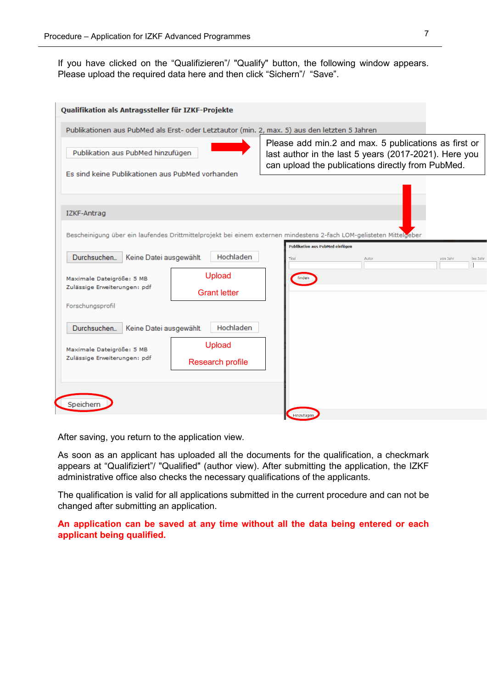If you have clicked on the "Qualifizieren"/ "Qualify" button, the following window appears. Please upload the required data here and then click "Sichern"/ "Save".

| Qualifikation als Antragssteller für IZKF-Projekte                                                                                 |                                                                                                                                                                    |
|------------------------------------------------------------------------------------------------------------------------------------|--------------------------------------------------------------------------------------------------------------------------------------------------------------------|
| Publikationen aus PubMed als Erst- oder Letztautor (min. 2, max. 5) aus den letzten 5 Jahren                                       |                                                                                                                                                                    |
| Publikation aus PubMed hinzufügen                                                                                                  | Please add min.2 and max. 5 publications as first or<br>last author in the last 5 years (2017-2021). Here you<br>can upload the publications directly from PubMed. |
| Es sind keine Publikationen aus PubMed vorhanden                                                                                   |                                                                                                                                                                    |
| IZKF-Antrag<br>Bescheinigung über ein laufendes Drittmittelprojekt bei einem externen mindestens 2-fach LOM-gelisteten Mittelgeber |                                                                                                                                                                    |
| Hochladen<br>Durchsuchen<br>Keine Datei ausgewählt.<br>Titel                                                                       | <b>Publikation aus PubMed einfügen</b><br>bis Jahr<br>Autor<br>von Jahr                                                                                            |
| Upload<br>finden<br>Maximale Dateigröße: 5 MB<br>Zulässige Erweiterungen: pdf<br><b>Grant letter</b>                               |                                                                                                                                                                    |
| Forschungsprofil<br>Hochladen<br>Durchsuchen<br>Keine Datei ausgewählt.                                                            |                                                                                                                                                                    |
| Upload<br>Maximale Dateigröße: 5 MB<br>Zulässige Erweiterungen: pdf<br><b>Research profile</b>                                     |                                                                                                                                                                    |
| Speicher<br>Hinzufügen                                                                                                             |                                                                                                                                                                    |

After saving, you return to the application view.

As soon as an applicant has uploaded all the documents for the qualification, a checkmark appears at "Qualifiziert"/ "Qualified" (author view). After submitting the application, the IZKF administrative office also checks the necessary qualifications of the applicants.

The qualification is valid for all applications submitted in the current procedure and can not be changed after submitting an application.

**An application can be saved at any time without all the data being entered or each applicant being qualified.**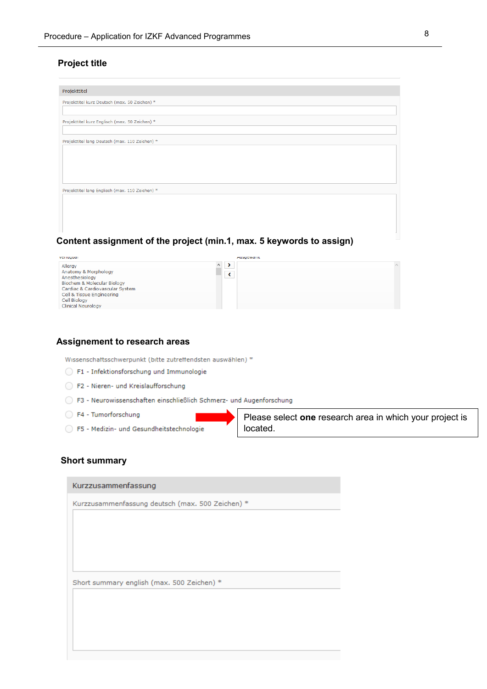## **Project title**

| Projekttitel                                    |
|-------------------------------------------------|
| Projekttitel kurz Deutsch (max. 50 Zeichen) *   |
|                                                 |
| Projekttitel kurz Englisch (max. 50 Zeichen) *  |
|                                                 |
| Projekttitel lang Deutsch (max. 110 Zeichen) *  |
|                                                 |
|                                                 |
|                                                 |
|                                                 |
| Projekttitel lang Englisch (max. 110 Zeichen) * |
|                                                 |
|                                                 |
|                                                 |
|                                                 |

## **Content assignment of the project (min.1, max. 5 keywords to assign)**

| venuguar                               | <b>Ausgewann</b> |  |
|----------------------------------------|------------------|--|
| $\wedge$<br>Allergy                    |                  |  |
| Anatomy & Morphology                   |                  |  |
| Anesthesiology                         |                  |  |
| <b>Biochem &amp; Molecular Biology</b> |                  |  |
| Cardiac & Cardiovascular System        |                  |  |
| Cell & Tissue Engineering              |                  |  |
| Cell Biology                           |                  |  |
| <b>Clinical Neurology</b>              |                  |  |
|                                        |                  |  |

#### **Assignement to research areas**

Wissenschaftsschwerpunkt (bitte zutreffendsten auswählen) \*

- F1 Infektionsforschung und Immunologie
- F2 Nieren- und Kreislaufforschung
- ◯ F3 Neurowissenschaften einschließlich Schmerz- und Augenforschung
- F4 Tumorforschung
- ◯ F5 Medizin- und Gesundheitstechnologie

Please select **one** research area in which your project is located.

#### **Short summary**

| Kurzzusammenfassung deutsch (max. 500 Zeichen) * |  |  |  |  |
|--------------------------------------------------|--|--|--|--|
|                                                  |  |  |  |  |
|                                                  |  |  |  |  |
|                                                  |  |  |  |  |
|                                                  |  |  |  |  |
| Short summary english (max. 500 Zeichen) *       |  |  |  |  |
|                                                  |  |  |  |  |
|                                                  |  |  |  |  |
|                                                  |  |  |  |  |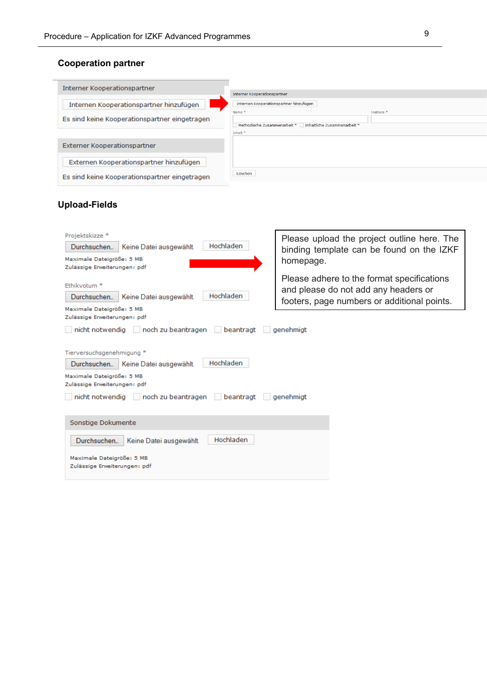# **Cooperation partner**

| Interner Kooperationspartner                  |                                                              |                        |
|-----------------------------------------------|--------------------------------------------------------------|------------------------|
|                                               | Interner Kooperationspartner                                 |                        |
| Internen Kooperationspartner hinzufügen       | Internen Kooperationspartner hinzufügen                      |                        |
|                                               | Name <sup>*</sup>                                            | Institute <sup>*</sup> |
| Es sind keine Kooperationspartner eingetragen |                                                              |                        |
|                                               | Inhaltliche Zusammenarbeit *<br>Methodische Zusammenarbeit * |                        |
|                                               | Inhalt*                                                      |                        |
| Externer Kooperationspartner                  |                                                              |                        |
| Externen Kooperationspartner hinzufügen       |                                                              |                        |
| Es sind keine Kooperationspartner eingetragen | Löschen                                                      |                        |

# **Upload-Fields**

| Projektskizze *<br>Hochladen<br>Durchsuchen<br>Keine Datei ausgewählt.<br>Maximale Dateigröße: 5 MB<br>Zulässige Erweiterungen: pdf                                                                                           | Please upload the project outline here. The<br>binding template can be found on the IZKF<br>homepage.                             |  |  |  |
|-------------------------------------------------------------------------------------------------------------------------------------------------------------------------------------------------------------------------------|-----------------------------------------------------------------------------------------------------------------------------------|--|--|--|
| Ethikvotum <sup>*</sup><br>Hochladen<br>Durchsuchen<br>Keine Datei ausgewählt.<br>Maximale Dateigröße: 5 MB<br>Zulässige Erweiterungen: pdf                                                                                   | Please adhere to the format specifications<br>and please do not add any headers or<br>footers, page numbers or additional points. |  |  |  |
| nicht notwendig in och zu beantragen in beantragt<br>genehmigt                                                                                                                                                                |                                                                                                                                   |  |  |  |
| Tierversuchsgenehmigung *<br>Hochladen<br>Durchsuchen<br>Keine Datei ausgewählt.<br>Maximale Dateigröße: 5 MB<br>Zulässige Erweiterungen: pdf<br>nicht notwendig     noch zu beantragen     beantragt    <br><i>genehmigt</i> |                                                                                                                                   |  |  |  |
| Sonstige Dokumente                                                                                                                                                                                                            |                                                                                                                                   |  |  |  |
| Hochladen<br>Durchsuchen<br>Keine Datei ausgewählt.                                                                                                                                                                           |                                                                                                                                   |  |  |  |
| Maximale Dateigröße: 5 MB<br>Zulässige Erweiterungen: pdf                                                                                                                                                                     |                                                                                                                                   |  |  |  |